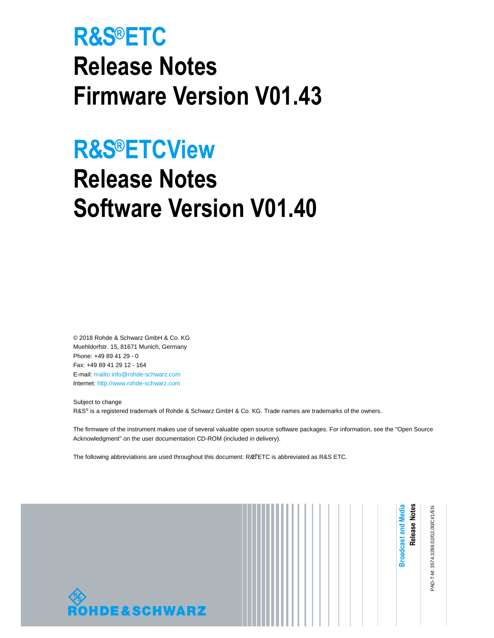# **R&S®ETC Release Notes Firmware Version V01.43**

# **R&S®ETCView**

# **Release Notes Software Version V01.40**

© 2018 Rohde & Schwarz GmbH & Co. KG Muehldorfstr. 15, 81671 Munich, Germany Phone: +49 89 41 29 - 0 Fax: +49 89 41 29 12 - 164 E-mail: mailto:info@rohde-schwarz.com Internet: http://www.rohde-schwarz.com

Subject to change R&S<sup>®</sup> is a registered trademark of Rohde & Schwarz GmbH & Co. KG. Trade names are trademarks of the owners.

The firmware of the instrument makes use of several valuable open source software packages. For information, see the "Open Source Acknowledgment" on the user documentation CD-ROM (included in delivery).

The following abbreviations are used throughout this document: R&S®ETC is abbreviated as R&S ETC.

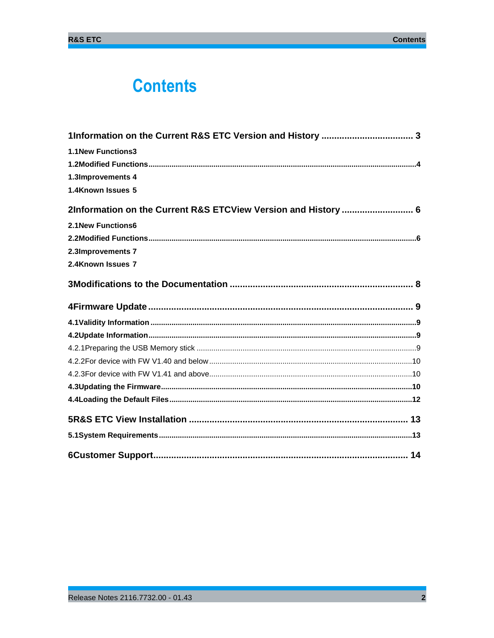# **Contents**

| <b>1.1New Functions3</b>                                       |  |
|----------------------------------------------------------------|--|
|                                                                |  |
| 1.3Improvements 4                                              |  |
| 1.4Known Issues 5                                              |  |
| 2Information on the Current R&S ETCView Version and History  6 |  |
| <b>2.1New Functions6</b>                                       |  |
|                                                                |  |
| 2.3Improvements 7                                              |  |
| 2.4Known Issues 7                                              |  |
|                                                                |  |
|                                                                |  |
|                                                                |  |
|                                                                |  |
|                                                                |  |
|                                                                |  |
|                                                                |  |
|                                                                |  |
|                                                                |  |
|                                                                |  |
|                                                                |  |
|                                                                |  |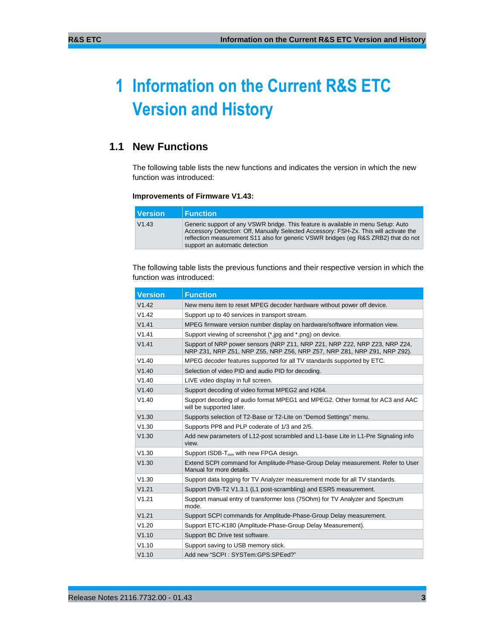# **1 Information on the Current R&S ETC Version and History**

# **1.1 New Functions**

The following table lists the new functions and indicates the version in which the new function was introduced:

#### **Improvements of Firmware V1.43:**

| <b>Version</b> | <b>⊩Function</b>                                                                                                                                                                                                                                                                                   |
|----------------|----------------------------------------------------------------------------------------------------------------------------------------------------------------------------------------------------------------------------------------------------------------------------------------------------|
| V1.43          | Generic support of any VSWR bridge. This feature is available in menu Setup: Auto<br>Accessory Detection: Off, Manually Selected Accessory: FSH-Zx. This will activate the<br>reflection measurement S11 also for generic VSWR bridges (eq R&S ZRB2) that do not<br>support an automatic detection |

The following table lists the previous functions and their respective version in which the function was introduced:

| <b>Version</b> | <b>Function</b>                                                                                                                                        |
|----------------|--------------------------------------------------------------------------------------------------------------------------------------------------------|
| V1.42          | New menu item to reset MPEG decoder hardware without power off device.                                                                                 |
| V1.42          | Support up to 40 services in transport stream.                                                                                                         |
| V1.41          | MPEG firmware version number display on hardware/software information view.                                                                            |
| V1.41          | Support viewing of screenshot (*.jpg and *.png) on device.                                                                                             |
| V1.41          | Support of NRP power sensors (NRP Z11, NRP Z21, NRP Z22, NRP Z23, NRP Z24,<br>NRP Z31, NRP Z51, NRP Z55, NRP Z56, NRP Z57, NRP Z81, NRP Z91, NRP Z92). |
| V1.40          | MPEG decoder features supported for all TV standards supported by ETC.                                                                                 |
| V1.40          | Selection of video PID and audio PID for decoding.                                                                                                     |
| V1.40          | LIVE video display in full screen.                                                                                                                     |
| V1.40          | Support decoding of video format MPEG2 and H264.                                                                                                       |
| V1.40          | Support decoding of audio format MPEG1 and MPEG2. Other format for AC3 and AAC<br>will be supported later.                                             |
| V1.30          | Supports selection of T2-Base or T2-Lite on "Demod Settings" menu.                                                                                     |
| V1.30          | Supports PP8 and PLP coderate of 1/3 and 2/5.                                                                                                          |
| V1.30          | Add new parameters of L12-post scrambled and L1-base Lite in L1-Pre Signaling info<br>view.                                                            |
| V1.30          | Support ISDB-T <sub>mm</sub> with new FPGA design.                                                                                                     |
| V1.30          | Extend SCPI command for Amplitude-Phase-Group Delay measurement. Refer to User<br>Manual for more details.                                             |
| V1.30          | Support data logging for TV Analyzer measurement mode for all TV standards.                                                                            |
| V1.21          | Support DVB-T2 V1.3.1 (L1 post-scrambling) and ESR5 measurement.                                                                                       |
| V1.21          | Support manual entry of transformer loss (750hm) for TV Analyzer and Spectrum<br>mode.                                                                 |
| V1.21          | Support SCPI commands for Amplitude-Phase-Group Delay measurement.                                                                                     |
| V1.20          | Support ETC-K180 (Amplitude-Phase-Group Delay Measurement).                                                                                            |
| V1.10          | Support BC Drive test software.                                                                                                                        |
| V1.10          | Support saving to USB memory stick.                                                                                                                    |
| V1.10          | Add new "SCPI: SYSTem:GPS:SPEed?"                                                                                                                      |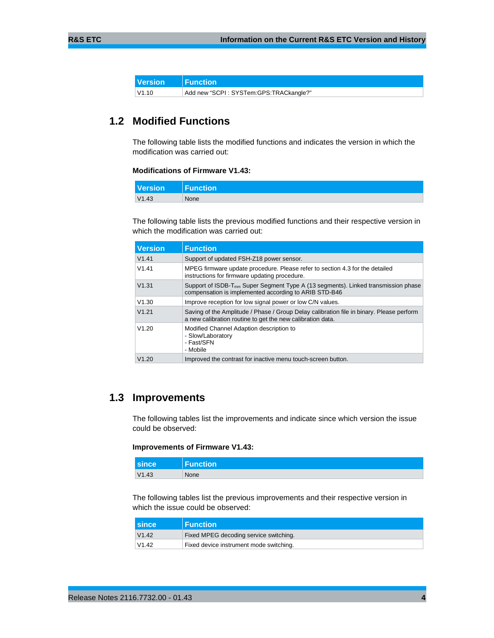| <b>Version</b>  | $\blacksquare$ Function                |
|-----------------|----------------------------------------|
| $ V1.10\rangle$ | Add new "SCPI: SYSTem:GPS:TRACkangle?" |

# **1.2 Modified Functions**

The following table lists the modified functions and indicates the version in which the modification was carried out:

#### **Modifications of Firmware V1.43:**

| <b>Version</b> | Function |
|----------------|----------|
| V1.43          | None     |

The following table lists the previous modified functions and their respective version in which the modification was carried out:

| <b>Version</b> | <b>Function</b>                                                                                                                                        |
|----------------|--------------------------------------------------------------------------------------------------------------------------------------------------------|
| V1.41          | Support of updated FSH-Z18 power sensor.                                                                                                               |
| V1.41          | MPEG firmware update procedure. Please refer to section 4.3 for the detailed<br>instructions for firmware updating procedure.                          |
| V1.31          | Support of ISDB-T <sub>mm</sub> Super Segment Type A (13 segments). Linked transmission phase<br>compensation is implemented according to ARIB STD-B46 |
| V1.30          | Improve reception for low signal power or low C/N values.                                                                                              |
| V1.21          | Saving of the Amplitude / Phase / Group Delay calibration file in binary. Please perform<br>a new calibration routine to get the new calibration data. |
| V1.20          | Modified Channel Adaption description to<br>- Slow/Laboratory<br>- Fast/SFN<br>- Mobile                                                                |
| V1.20          | Improved the contrast for inactive menu touch-screen button.                                                                                           |

# **1.3 Improvements**

The following tables list the improvements and indicate since which version the issue could be observed:

#### **Improvements of Firmware V1.43:**

| <b>since</b> | Function <sup>1</sup> |
|--------------|-----------------------|
| V1.43        | None                  |

The following tables list the previous improvements and their respective version in which the issue could be observed:

| <b>Since</b> | <b>Function</b>                         |
|--------------|-----------------------------------------|
| V1.42        | Fixed MPEG decoding service switching.  |
| V1.42        | Fixed device instrument mode switching. |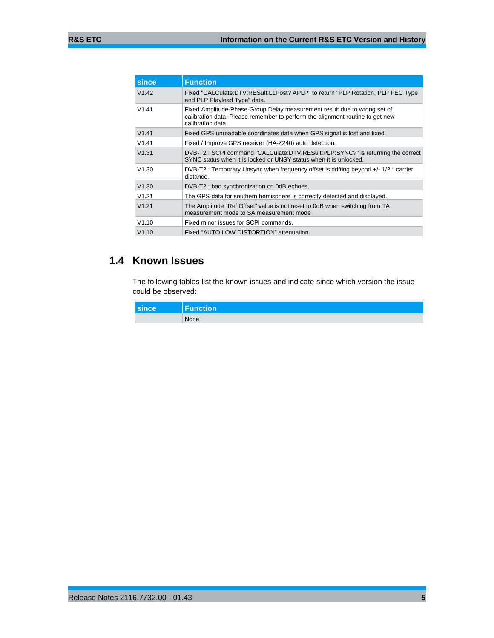| since | <b>Function</b>                                                                                                                                                                |
|-------|--------------------------------------------------------------------------------------------------------------------------------------------------------------------------------|
| V1.42 | Fixed "CALCulate:DTV:RESult:L1Post? APLP" to return "PLP Rotation, PLP FEC Type<br>and PLP Playload Type" data.                                                                |
| V1.41 | Fixed Amplitude-Phase-Group Delay measurement result due to wrong set of<br>calibration data. Please remember to perform the alignment routine to get new<br>calibration data. |
| V1.41 | Fixed GPS unreadable coordinates data when GPS signal is lost and fixed.                                                                                                       |
| V1.41 | Fixed / Improve GPS receiver (HA-Z240) auto detection.                                                                                                                         |
| V1.31 | DVB-T2: SCPI command "CALCulate:DTV:RESult:PLP:SYNC?" is returning the correct<br>SYNC status when it is locked or UNSY status when it is unlocked.                            |
| V1.30 | DVB-T2 : Temporary Unsync when frequency offset is drifting beyond +/- 1/2 * carrier<br>distance.                                                                              |
| V1.30 | DVB-T2 : bad synchronization on 0dB echoes.                                                                                                                                    |
| V1.21 | The GPS data for southern hemisphere is correctly detected and displayed.                                                                                                      |
| V1.21 | The Amplitude "Ref Offset" value is not reset to 0dB when switching from TA<br>measurement mode to SA measurement mode                                                         |
| V1.10 | Fixed minor issues for SCPI commands.                                                                                                                                          |
| V1.10 | Fixed "AUTO LOW DISTORTION" attenuation.                                                                                                                                       |

# **1.4 Known Issues**

The following tables list the known issues and indicate since which version the issue could be observed:

| since | <b>Function</b> |
|-------|-----------------|
|       | None            |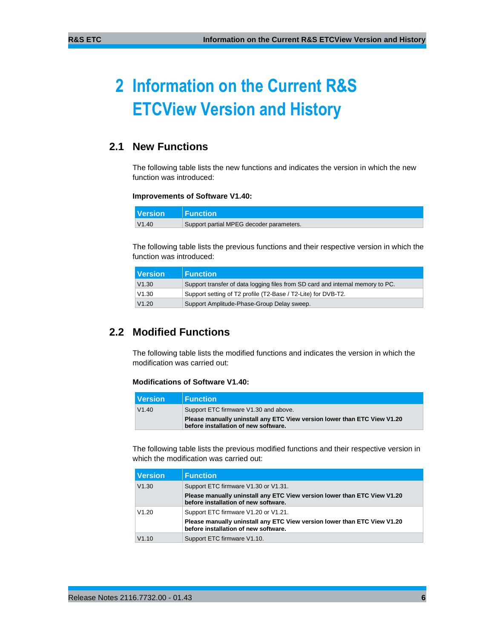# **2 Information on the Current R&S ETCView Version and History**

# **2.1 New Functions**

The following table lists the new functions and indicates the version in which the new function was introduced:

#### **Improvements of Software V1.40:**

| <b>Version</b> | $\blacksquare$ Function                  |
|----------------|------------------------------------------|
| V1.40          | Support partial MPEG decoder parameters. |

The following table lists the previous functions and their respective version in which the function was introduced:

| l Version | <b>Function</b>                                                                |
|-----------|--------------------------------------------------------------------------------|
| V1.30     | Support transfer of data logging files from SD card and internal memory to PC. |
| V1.30     | Support setting of T2 profile (T2-Base / T2-Lite) for DVB-T2.                  |
| V1.20     | Support Amplitude-Phase-Group Delay sweep.                                     |

# **2.2 Modified Functions**

The following table lists the modified functions and indicates the version in which the modification was carried out:

#### **Modifications of Software V1.40:**

| I Version | $\blacksquare$ Function                                                                                          |
|-----------|------------------------------------------------------------------------------------------------------------------|
| V1.40     | Support ETC firmware V1.30 and above.                                                                            |
|           | Please manually uninstall any ETC View version lower than ETC View V1.20<br>before installation of new software. |

The following table lists the previous modified functions and their respective version in which the modification was carried out:

| <b>Version</b> | <b>Function</b>                                                                                                  |
|----------------|------------------------------------------------------------------------------------------------------------------|
| V1.30          | Support ETC firmware V1.30 or V1.31.                                                                             |
|                | Please manually uninstall any ETC View version lower than ETC View V1.20<br>before installation of new software. |
| V1.20          | Support ETC firmware V1.20 or V1.21.                                                                             |
|                | Please manually uninstall any ETC View version lower than ETC View V1.20<br>before installation of new software. |
| V1.10          | Support ETC firmware V1.10.                                                                                      |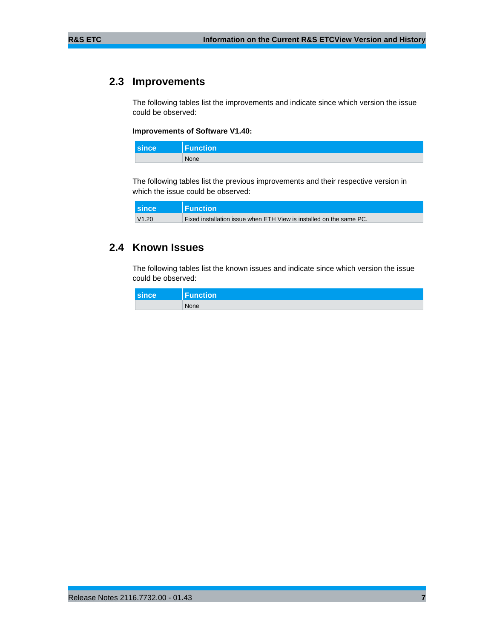# **2.3 Improvements**

The following tables list the improvements and indicate since which version the issue could be observed:

#### **Improvements of Software V1.40:**

| <b>since</b> | Function |
|--------------|----------|
|              | None     |

The following tables list the previous improvements and their respective version in which the issue could be observed:

| since | $\blacksquare$ Function                                             |
|-------|---------------------------------------------------------------------|
| V1.20 | Fixed installation issue when ETH View is installed on the same PC. |

### **2.4 Known Issues**

The following tables list the known issues and indicate since which version the issue could be observed:

| since | Function |
|-------|----------|
|       | None     |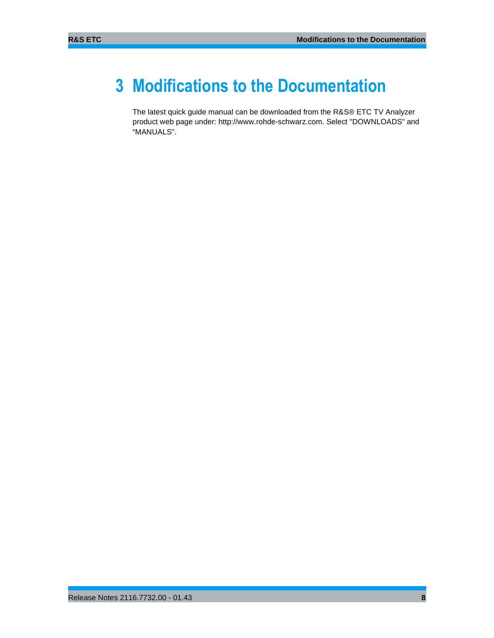# **3 Modifications to the Documentation**

The latest quick guide manual can be downloaded from the R&S® ETC TV Analyzer product web page under: http://www.rohde-schwarz.com. Select "DOWNLOADS" and "MANUALS".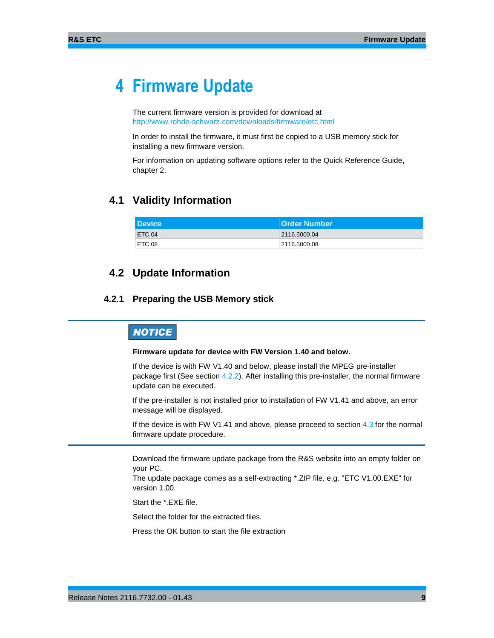# **4 Firmware Update**

The current firmware version is provided for download at http://www.rohde-schwarz.com/downloads/firmware/etc.html

In order to install the firmware, it must first be copied to a USB memory stick for installing a new firmware version.

For information on updating software options refer to the Quick Reference Guide, chapter 2.

### **4.1 Validity Information**

| l Device i | <b>Order Number</b> |
|------------|---------------------|
| ETC 04     | 2116.5000.04        |
| ETC 08     | 2116.5000.08        |

### **4.2 Update Information**

### **4.2.1 Preparing the USB Memory stick**

## **NOTICE**

#### **Firmware update for device with FW Version 1.40 and below.**

If the device is with FW V1.40 and below, please install the MPEG pre-installer package first (See section 4.2.2). After installing this pre-installer, the normal firmware update can be executed.

If the pre-installer is not installed prior to installation of FW V1.41 and above, an error message will be displayed.

If the device is with FW V1.41 and above, please proceed to section 4.3 for the normal firmware update procedure.

Download the firmware update package from the R&S website into an empty folder on your PC.

The update package comes as a self-extracting \*.ZIP file, e.g. "ETC V1.00.EXE" for version 1.00.

Start the \*.EXE file.

Select the folder for the extracted files.

Press the OK button to start the file extraction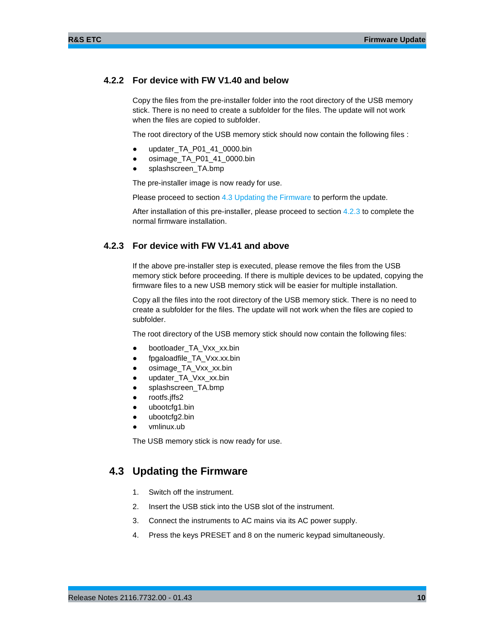### **4.2.2 For device with FW V1.40 and below**

Copy the files from the pre-installer folder into the root directory of the USB memory stick. There is no need to create a subfolder for the files. The update will not work when the files are copied to subfolder.

The root directory of the USB memory stick should now contain the following files :

- updater\_TA\_P01\_41\_0000.bin
- osimage\_TA\_P01\_41\_0000.bin
- splashscreen\_TA.bmp

The pre-installer image is now ready for use.

Please proceed to section 4.3 Updating the Firmware to perform the update.

After installation of this pre-installer, please proceed to section 4.2.3 to complete the normal firmware installation.

### **4.2.3 For device with FW V1.41 and above**

If the above pre-installer step is executed, please remove the files from the USB memory stick before proceeding. If there is multiple devices to be updated, copying the firmware files to a new USB memory stick will be easier for multiple installation.

Copy all the files into the root directory of the USB memory stick. There is no need to create a subfolder for the files. The update will not work when the files are copied to subfolder.

The root directory of the USB memory stick should now contain the following files:

- bootloader\_TA\_Vxx\_xx.bin
- fpgaloadfile\_TA\_Vxx.xx.bin
- osimage\_TA\_Vxx\_xx.bin
- updater\_TA\_Vxx\_xx.bin
- splashscreen\_TA.bmp
- rootfs.jffs2
- ubootcfg1.bin
- ubootcfg2.bin
- vmlinux.ub

The USB memory stick is now ready for use.

## **4.3 Updating the Firmware**

- 1. Switch off the instrument.
- 2. Insert the USB stick into the USB slot of the instrument.
- 3. Connect the instruments to AC mains via its AC power supply.
- 4. Press the keys PRESET and 8 on the numeric keypad simultaneously.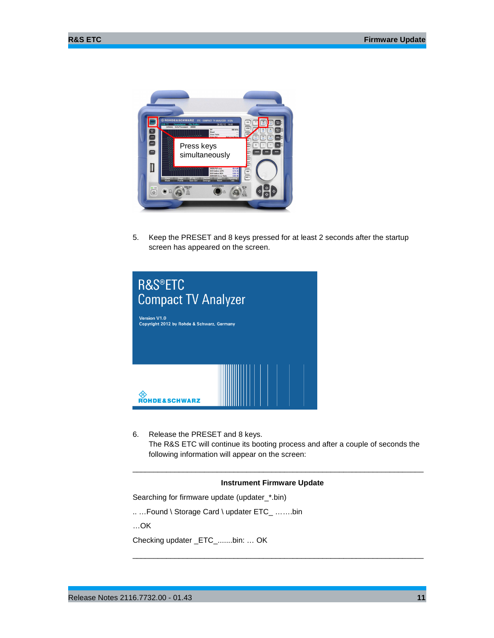

5. Keep the PRESET and 8 keys pressed for at least 2 seconds after the startup screen has appeared on the screen.



6. Release the PRESET and 8 keys. The R&S ETC will continue its booting process and after a couple of seconds the following information will appear on the screen:

\_\_\_\_\_\_\_\_\_\_\_\_\_\_\_\_\_\_\_\_\_\_\_\_\_\_\_\_\_\_\_\_\_\_\_\_\_\_\_\_\_\_\_\_\_\_\_\_\_\_\_\_\_\_\_\_\_\_\_\_\_\_\_\_\_\_\_\_\_

\_\_\_\_\_\_\_\_\_\_\_\_\_\_\_\_\_\_\_\_\_\_\_\_\_\_\_\_\_\_\_\_\_\_\_\_\_\_\_\_\_\_\_\_\_\_\_\_\_\_\_\_\_\_\_\_\_\_\_\_\_\_\_\_\_\_\_\_\_

#### **Instrument Firmware Update**

Searching for firmware update (updater\_\*.bin)

.. …Found \ Storage Card \ updater ETC\_ …….bin

…OK

Checking updater \_ETC\_.......bin: … OK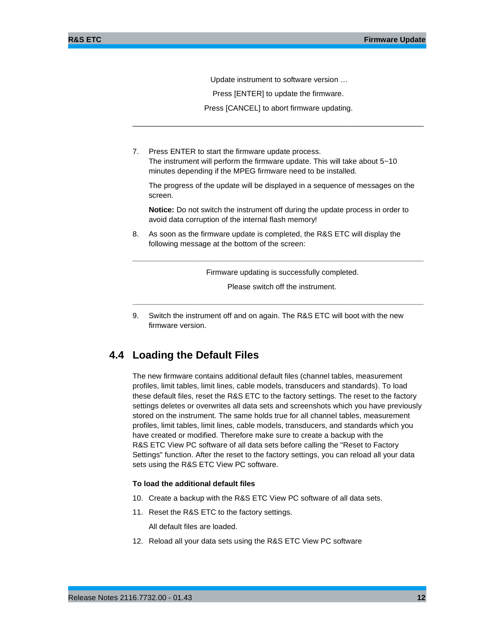Update instrument to software version …

Press [ENTER] to update the firmware.

 Press [CANCEL] to abort firmware updating. \_\_\_\_\_\_\_\_\_\_\_\_\_\_\_\_\_\_\_\_\_\_\_\_\_\_\_\_\_\_\_\_\_\_\_\_\_\_\_\_\_\_\_\_\_\_\_\_\_\_\_\_\_\_\_\_\_\_\_\_\_\_\_\_\_\_\_\_\_

7. Press ENTER to start the firmware update process. The instrument will perform the firmware update. This will take about 5~10 minutes depending if the MPEG firmware need to be installed.

The progress of the update will be displayed in a sequence of messages on the screen.

**Notice:** Do not switch the instrument off during the update process in order to avoid data corruption of the internal flash memory!

8. As soon as the firmware update is completed, the R&S ETC will display the following message at the bottom of the screen:

Firmware updating is successfully completed.

**\_\_\_\_\_\_\_\_\_\_\_\_\_\_\_\_\_\_\_\_\_\_\_\_\_\_\_\_\_\_\_\_\_\_\_\_\_\_\_\_\_\_\_\_\_\_\_\_\_\_\_\_\_\_\_\_\_\_\_\_\_\_\_\_\_\_\_\_\_**

 Please switch off the instrument. **\_\_\_\_\_\_\_\_\_\_\_\_\_\_\_\_\_\_\_\_\_\_\_\_\_\_\_\_\_\_\_\_\_\_\_\_\_\_\_\_\_\_\_\_\_\_\_\_\_\_\_\_\_\_\_\_\_\_\_\_\_\_\_\_\_\_\_\_\_**

9. Switch the instrument off and on again. The R&S ETC will boot with the new firmware version.

### **4.4 Loading the Default Files**

The new firmware contains additional default files (channel tables, measurement profiles, limit tables, limit lines, cable models, transducers and standards). To load these default files, reset the R&S ETC to the factory settings. The reset to the factory settings deletes or overwrites all data sets and screenshots which you have previously stored on the instrument. The same holds true for all channel tables, measurement profiles, limit tables, limit lines, cable models, transducers, and standards which you have created or modified. Therefore make sure to create a backup with the R&S ETC View PC software of all data sets before calling the "Reset to Factory Settings" function. After the reset to the factory settings, you can reload all your data sets using the R&S ETC View PC software.

#### **To load the additional default files**

- 10. Create a backup with the R&S ETC View PC software of all data sets.
- 11. Reset the R&S ETC to the factory settings.

All default files are loaded.

12. Reload all your data sets using the R&S ETC View PC software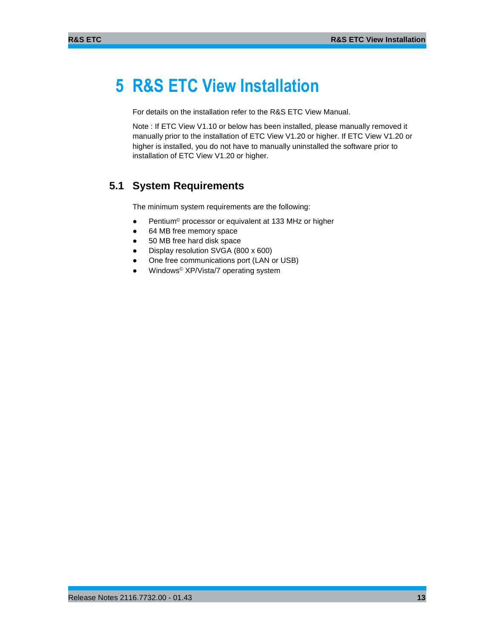# **5 R&S ETC View Installation**

For details on the installation refer to the R&S ETC View Manual.

Note : If ETC View V1.10 or below has been installed, please manually removed it manually prior to the installation of ETC View V1.20 or higher. If ETC View V1.20 or higher is installed, you do not have to manually uninstalled the software prior to installation of ETC View V1.20 or higher.

# **5.1 System Requirements**

The minimum system requirements are the following:

- Pentium<sup>©</sup> processor or equivalent at 133 MHz or higher
- 64 MB free memory space
- 50 MB free hard disk space
- Display resolution SVGA (800 x 600)
- One free communications port (LAN or USB)
- Windows<sup>®</sup> XP/Vista/7 operating system